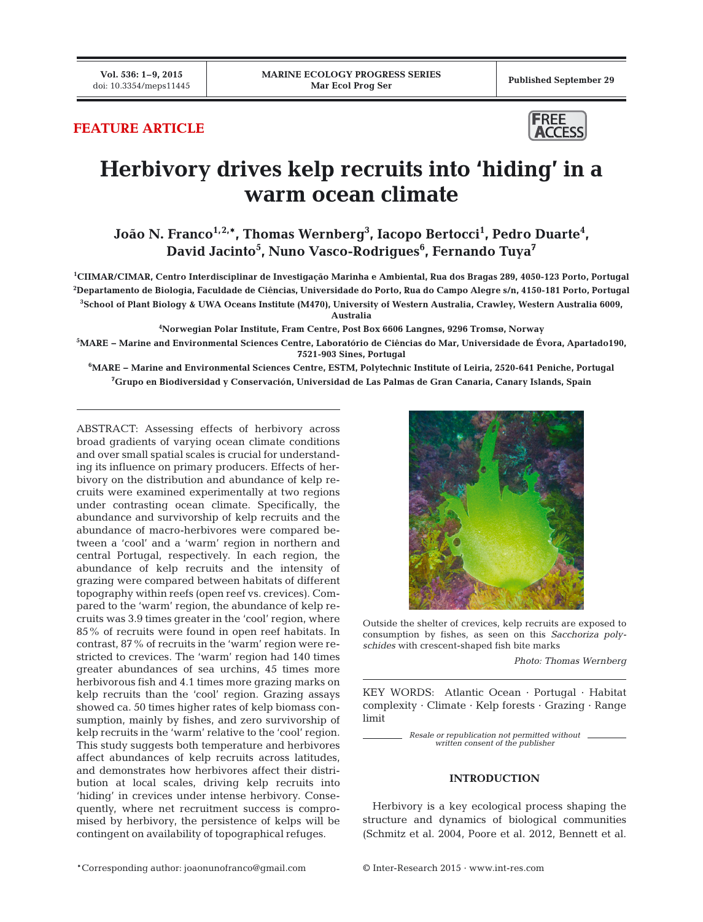**Vol. 536: 1–9, 2015**

# **FEATURE ARTICLE**



# **Herbivory drives kelp recruits into 'hiding' in a warm ocean climate**

João N. Franco<sup>1,2,</sup>\*, Thomas Wernberg<sup>3</sup>, Iacopo Bertocci<sup>1</sup>, Pedro Duarte<sup>4</sup>, **David Jacinto5 , Nuno Vasco-Rodrigues6 , Fernando Tuya7**

**1 CIIMAR/CIMAR, Centro Interdisciplinar de Investigação Marinha e Ambiental, Rua dos Bragas 289, 4050-123 Porto, Portugal 2 Departamento de Biologia, Faculdade de Ciências, Universidade do Porto, Rua do Campo Alegre s/n, 4150-181 Porto, Portugal 3 School of Plant Biology & UWA Oceans Institute (M470), University of Western Australia, Crawley, Western Australia 6009,** 

**Australia**

**4 Norwegian Polar Institute, Fram Centre, Post Box 6606 Langnes, 9296 Tromsø, Norway**

**5 MARE − Marine and Environmental Sciences Centre, Laboratório de Ciências do Mar, Universidade de Évora, Apartado190, 7521-903 Sines, Portugal**

**6 MARE − Marine and Environmental Sciences Centre, ESTM, Polytechnic Institute of Leiria, 2520-641 Peniche, Portugal 7 Grupo en Biodiversidad y Conservación, Universidad de Las Palmas de Gran Canaria, Canary Islands, Spain**

ABSTRACT: Assessing effects of herbivory across broad gradients of varying ocean climate conditions and over small spatial scales is crucial for understanding its influence on primary producers. Effects of herbivory on the distribution and abundance of kelp recruits were examined experimentally at two regions under contrasting ocean climate. Specifically, the abundance and survivorship of kelp recruits and the abundance of macro-herbivores were compared between a 'cool' and a 'warm' region in northern and central Portugal, respectively. In each region, the abundance of kelp recruits and the intensity of grazing were compared between habitats of different topography within reefs (open reef vs. crevices). Compared to the 'warm' region, the abundance of kelp recruits was 3.9 times greater in the 'cool' region, where 85% of recruits were found in open reef habitats. In contrast, 87% of recruits in the 'warm' region were restricted to crevices. The 'warm' region had 140 times greater abundances of sea urchins, 45 times more herbivorous fish and 4.1 times more grazing marks on kelp recruits than the 'cool' region. Grazing assays showed ca. 50 times higher rates of kelp biomass consumption, mainly by fishes, and zero survivorship of kelp recruits in the 'warm' relative to the 'cool' region. This study suggests both temperature and herbivores affect abundances of kelp recruits across latitudes, and demonstrates how herbivores affect their distribution at local scales, driving kelp recruits into 'hiding' in crevices under intense herbivory. Consequently, where net recruitment success is compromised by herbivory, the persistence of kelps will be contingent on availability of topographical refuges.



Outside the shelter of crevices, kelp recruits are exposed to consumption by fishes, as seen on this *Sacchoriza polyschides* with crescent-shaped fish bite marks

*Photo: Thomas Wernberg*

KEY WORDS: Atlantic Ocean · Portugal · Habitat complexity · Climate · Kelp forests · Grazing · Range limit

> *Resale or republication not permitted without written consent of the publisher*

# **INTRODUCTION**

Herbivory is a key ecological process shaping the structure and dynamics of biological communities (Schmitz et al. 2004, Poore et al. 2012, Bennett et al.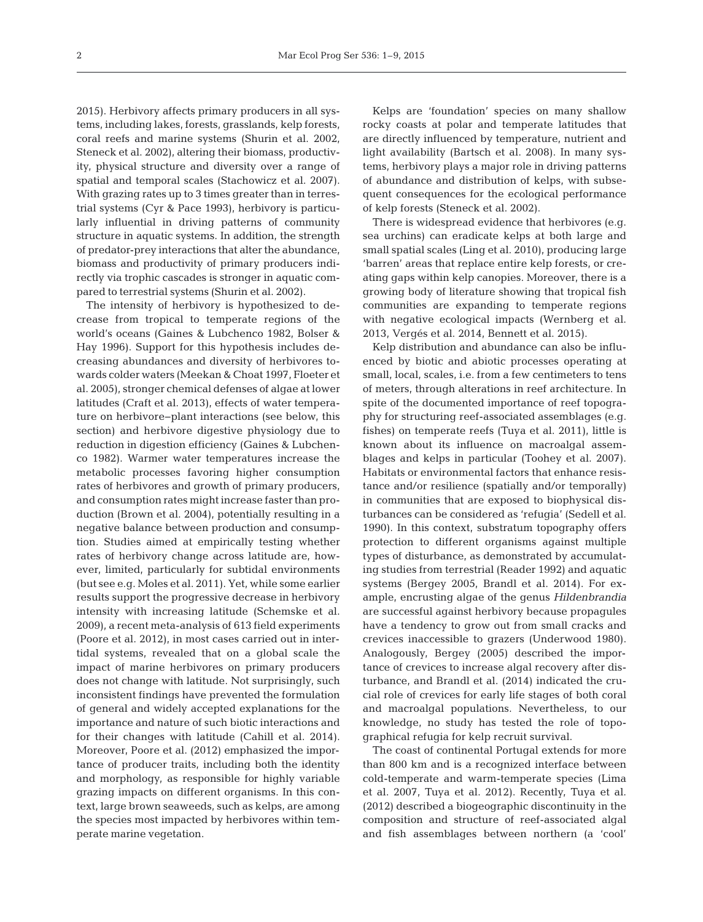2015). Herbivory affects primary producers in all systems, including lakes, forests, grasslands, kelp forests, coral reefs and marine systems (Shurin et al. 2002, Steneck et al. 2002), altering their biomass, productivity, physical structure and diversity over a range of spatial and temporal scales (Stachowicz et al. 2007). With grazing rates up to 3 times greater than in terrestrial systems (Cyr & Pace 1993), herbivory is particularly influential in driving patterns of community structure in aquatic systems. In addition, the strength of predator-prey interactions that alter the abundance, biomass and productivity of primary producers indirectly via trophic cascades is stronger in aquatic compared to terrestrial systems (Shurin et al. 2002).

The intensity of herbivory is hypothesized to decrease from tropical to temperate regions of the world's oceans (Gaines & Lubchenco 1982, Bolser & Hay 1996). Support for this hypothesis includes de creasing abundances and diversity of herbivores to wards colder waters (Meekan & Choat 1997, Floeter et al. 2005), stronger chemical defenses of algae at lower latitudes (Craft et al. 2013), effects of water temperature on herbivore−plant interactions (see below, this section) and herbivore digestive physiology due to reduction in digestion efficiency (Gaines & Lubchenco 1982). Warmer water temperatures increase the metabolic processes favoring higher consumption rates of herbivores and growth of primary producers, and consumption rates might increase faster than production (Brown et al. 2004), potentially resulting in a negative balance between production and consumption. Studies aimed at empirically testing whether rates of herbivory change across latitude are, however, limited, particularly for subtidal environments (but see e.g. Moles et al. 2011). Yet, while some earlier results support the progressive decrease in herbivory intensity with increasing latitude (Schemske et al. 2009), a recent meta-analysis of 613 field experiments (Poore et al. 2012), in most cases carried out in intertidal systems, revealed that on a global scale the impact of marine herbivores on primary producers does not change with latitude. Not surprisingly, such inconsistent findings have prevented the formulation of general and widely accepted explanations for the importance and nature of such biotic interactions and for their changes with latitude (Cahill et al. 2014). Moreover, Poore et al. (2012) emphasized the importance of producer traits, including both the identity and morphology, as responsible for highly variable grazing impacts on different organisms. In this context, large brown seaweeds, such as kelps, are among the species most impacted by herbivores within temperate marine vegetation.

Kelps are 'foundation' species on many shallow rocky coasts at polar and temperate latitudes that are directly influenced by temperature, nutrient and light availability (Bartsch et al. 2008). In many systems, herbivory plays a major role in driving patterns of abundance and distribution of kelps, with subsequent consequences for the ecological performance of kelp forests (Steneck et al. 2002).

There is widespread evidence that herbivores (e.g. sea urchins) can eradicate kelps at both large and small spatial scales (Ling et al. 2010), producing large 'barren' areas that replace entire kelp forests, or creating gaps within kelp canopies. Moreover, there is a growing body of literature showing that tropical fish communities are expanding to temperate regions with negative ecological impacts (Wernberg et al. 2013, Vergés et al. 2014, Bennett et al. 2015).

Kelp distribution and abundance can also be influenced by biotic and abiotic processes operating at small, local, scales, i.e. from a few centimeters to tens of meters, through alterations in reef architecture. In spite of the documented importance of reef topography for structuring reef-associated assemblages (e.g. fishes) on temperate reefs (Tuya et al. 2011), little is known about its influence on macroalgal assemblages and kelps in particular (Toohey et al. 2007). Habitats or environmental factors that enhance resis tance and/or resilience (spatially and/or temporally) in communities that are exposed to biophysical disturbances can be considered as 'refugia' (Sedell et al. 1990). In this context, substratum topography offers protection to different organisms against multiple types of disturbance, as demonstrated by accumulating studies from terrestrial (Reader 1992) and aquatic systems (Bergey 2005, Brandl et al. 2014). For example, en crusting algae of the genus *Hildenbrandia* are successful against herbivory because propagules have a tendency to grow out from small cracks and crevices inaccessible to grazers (Underwood 1980). Analogously, Bergey (2005) described the importance of crevices to increase algal recovery after disturbance, and Brandl et al. (2014) indicated the crucial role of crevices for early life stages of both coral and macroalgal populations. Nevertheless, to our knowledge, no study has tested the role of topographical refugia for kelp recruit survival.

The coast of continental Portugal extends for more than 800 km and is a recognized interface between cold-temperate and warm-temperate species (Lima et al. 2007, Tuya et al. 2012). Recently, Tuya et al. (2012) described a biogeographic discontinuity in the composition and structure of reef-associated algal and fish assemblages between northern (a 'cool'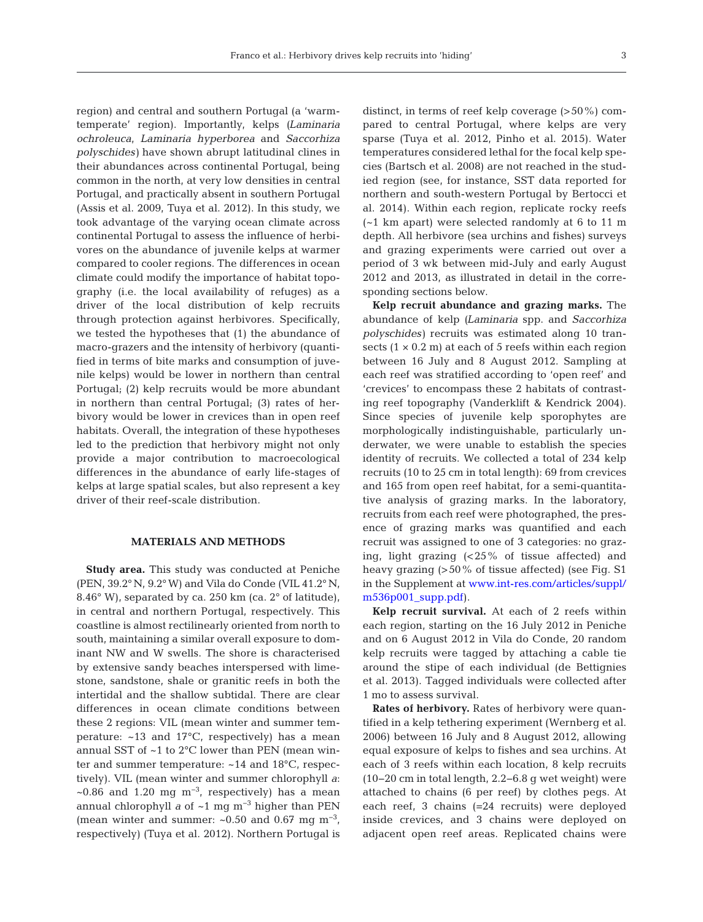region) and central and southern Portugal (a 'warmtemperate' region). Importantly, kelps *(Laminaria ochroleuca*, *Laminaria hyperborea* and *Saccorhiza polyschides)* have shown abrupt latitudinal clines in their abundances across continental Portugal, being common in the north, at very low densities in central Portugal, and practically absent in southern Portugal (Assis et al. 2009, Tuya et al. 2012). In this study, we took advantage of the varying ocean climate across continental Portugal to assess the influence of herbivores on the abundance of juvenile kelps at warmer compared to cooler regions. The differences in ocean climate could modify the importance of habitat topo graphy (i.e. the local availability of refuges) as a driver of the local distribution of kelp recruits through protection against herbivores. Specifically, we tested the hypotheses that (1) the abundance of macro-grazers and the intensity of herbivory (quantified in terms of bite marks and consumption of juvenile kelps) would be lower in northern than central Portugal; (2) kelp recruits would be more abundant in northern than central Portugal; (3) rates of herbivory would be lower in crevices than in open reef habitats. Overall, the integration of these hypotheses led to the prediction that herbivory might not only provide a major contribution to macroecological differences in the abundance of early life-stages of kelps at large spatial scales, but also represent a key driver of their reef-scale distribution.

## **MATERIALS AND METHODS**

**Study area.** This study was conducted at Peniche (PEN, 39.2° N, 9.2° W) and Vila do Conde (VIL 41.2° N, 8.46° W), separated by ca. 250 km (ca. 2° of latitude), in central and northern Portugal, respectively. This coastline is almost rectilinearly oriented from north to south, maintaining a similar overall exposure to dominant NW and W swells. The shore is characterised by extensive sandy beaches interspersed with limestone, sandstone, shale or granitic reefs in both the intertidal and the shallow subtidal. There are clear differences in ocean climate conditions between these 2 regions: VIL (mean winter and summer temperature: ~13 and 17°C, respectively) has a mean annual SST of ~1 to 2°C lower than PEN (mean winter and summer temperature: ~14 and 18°C, respectively). VIL (mean winter and summer chlorophyll *a*: ~0.86 and 1.20 mg  $m^{-3}$ , respectively) has a mean annual chlorophyll *a* of ~1 mg m−3 higher than PEN (mean winter and summer: ~0.50 and 0.67 mg m−3, respectively) (Tuya et al. 2012). Northern Portugal is

distinct, in terms of reef kelp coverage (>50%) compared to central Portugal, where kelps are very sparse (Tuya et al. 2012, Pinho et al. 2015). Water temperatures considered lethal for the focal kelp species (Bartsch et al. 2008) are not reached in the studied region (see, for instance, SST data reported for northern and south-western Portugal by Bertocci et al. 2014). Within each region, replicate rocky reefs (~1 km apart) were selected randomly at 6 to 11 m depth. All herbivore (sea urchins and fishes) surveys and grazing experiments were carried out over a period of 3 wk between mid-July and early August 2012 and 2013, as illustrated in detail in the corresponding sections below.

**Kelp recruit abundance and grazing marks.** The abundance of kelp *(Laminaria* spp. and *Saccorhiza polyschides)* recruits was estimated along 10 transects  $(1 \times 0.2 \text{ m})$  at each of 5 reefs within each region between 16 July and 8 August 2012. Sampling at each reef was stratified according to 'open reef' and 'crevices' to encompass these 2 habitats of contrasting reef topography (Vanderklift & Kendrick 2004). Since species of juvenile kelp sporophytes are morphologically indistinguishable, particularly underwater, we were unable to establish the species identity of recruits. We collected a total of 234 kelp recruits (10 to 25 cm in total length): 69 from crevices and 165 from open reef habitat, for a semi-quantitative analysis of grazing marks. In the laboratory, recruits from each reef were photographed, the presence of grazing marks was quantified and each recruit was assigned to one of 3 categories: no grazing, light grazing (<25% of tissue affected) and heavy grazing (>50% of tissue affected) (see Fig. S1 in the Supplement at www.int-res.com/articles/suppl/ [m536p001\\_supp.pdf\).](http://www.int-res.com/articles/suppl/m536p001_supp.pdf)

**Kelp recruit survival.** At each of 2 reefs within each region, starting on the 16 July 2012 in Peniche and on 6 August 2012 in Vila do Conde, 20 random kelp recruits were tagged by attaching a cable tie around the stipe of each individual (de Bettignies et al. 2013). Tagged individuals were collected after 1 mo to assess survival.

**Rates of herbivory.** Rates of herbivory were quantified in a kelp tethering experiment (Wernberg et al. 2006) between 16 July and 8 August 2012, allowing equal exposure of kelps to fishes and sea urchins. At each of 3 reefs within each location, 8 kelp recruits (10−20 cm in total length, 2.2−6.8 g wet weight) were attached to chains (6 per reef) by clothes pegs. At each reef, 3 chains (=24 recruits) were deployed inside crevices, and 3 chains were deployed on adjacent open reef areas. Replicated chains were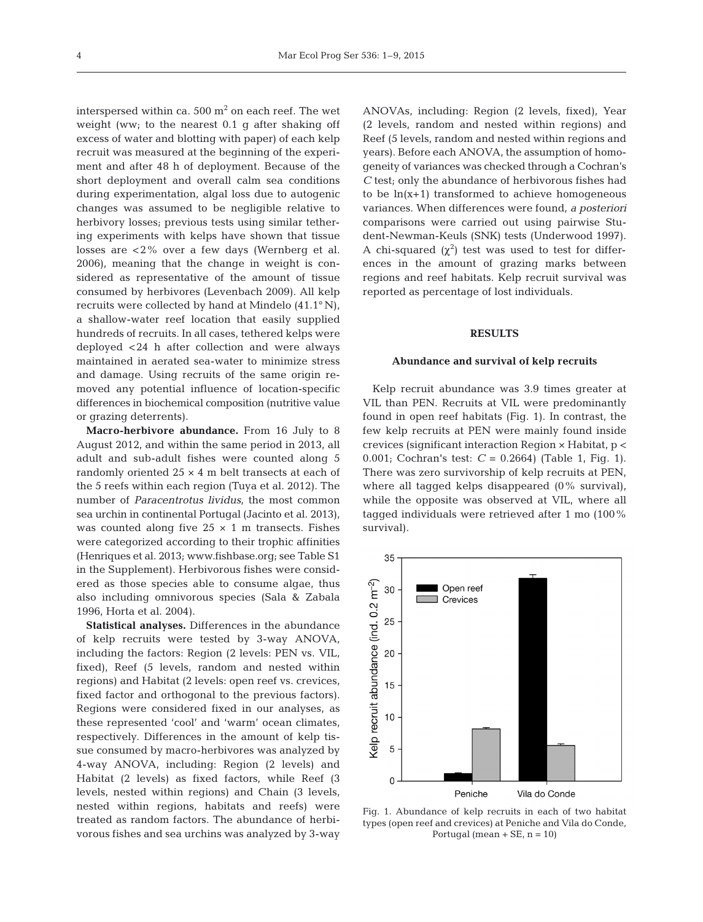interspersed within ca. 500  $m<sup>2</sup>$  on each reef. The wet weight (ww; to the nearest 0.1 g after shaking off excess of water and blotting with paper) of each kelp recruit was measured at the beginning of the experiment and after 48 h of deployment. Because of the short deployment and overall calm sea conditions during experimentation, algal loss due to autogenic changes was assumed to be negligible relative to herbivory losses; previous tests using similar tethering experiments with kelps have shown that tissue losses are <2% over a few days (Wernberg et al.  $2006$ ), meaning that the change in weight is considered as representative of the amount of tissue consumed by herbivores (Levenbach 2009). All kelp recruits were collected by hand at Mindelo (41.1° N), a shallow-water reef location that easily supplied hundreds of recruits. In all cases, tethered kelps were deployed <24 h after collection and were always maintained in aerated sea-water to minimize stress and damage. Using recruits of the same origin removed any potential influence of location-specific differences in biochemical composition (nutritive value or grazing deterrents).

**Macro-herbivore abundance.** From 16 July to 8 August 2012, and within the same period in 2013, all adult and sub-adult fishes were counted along 5 randomly oriented 25 × 4 m belt transects at each of the 5 reefs within each region (Tuya et al. 2012). The number of *Paracentrotus lividus*, the most common sea urchin in continental Portugal (Jacinto et al. 2013), was counted along five  $25 \times 1$  m transects. Fishes were categorized according to their trophic affinities (Henriques et al. 2013; www.fishbase.org; see Table S1 in the Supplement). Herbivorous fishes were considered as those species able to consume algae, thus also including omnivorous species (Sala & Zabala 1996, Horta et al. 2004).

**Statistical analyses.** Differences in the abundance of kelp recruits were tested by 3-way ANOVA, including the factors: Region (2 levels: PEN vs. VIL, fixed), Reef (5 levels, random and nested within regions) and Habitat (2 levels: open reef vs. crevices, fixed factor and orthogonal to the previous factors). Regions were considered fixed in our analyses, as these represented 'cool' and 'warm' ocean climates, respectively. Differences in the amount of kelp tissue consumed by macro-herbivores was analyzed by 4-way ANOVA, including: Region (2 levels) and Habitat (2 levels) as fixed factors, while Reef (3 levels, nested within regions) and Chain (3 levels, nested within regions, habitats and reefs) were treated as random factors. The abundance of herbivorous fishes and sea urchins was analyzed by 3-way

ANOVAs, including: Region (2 levels, fixed), Year (2 levels, random and nested within regions) and Reef (5 levels, random and nested within regions and years). Before each ANOVA, the assumption of homogeneity of variances was checked through a Cochran's *C* test; only the abundance of herbivorous fishes had to be  $ln(x+1)$  transformed to achieve homogeneous variances. When differences were found, *a posteriori* comparisons were carried out using pairwise Student-Newman-Keuls (SNK) tests (Underwood 1997). A chi-squared  $(\chi^2)$  test was used to test for differences in the amount of grazing marks between regions and reef habitats. Kelp recruit survival was reported as percentage of lost individuals.

## **RESULTS**

#### **Abundance and survival of kelp recruits**

Kelp recruit abundance was 3.9 times greater at VIL than PEN. Recruits at VIL were predominantly found in open reef habitats (Fig. 1). In contrast, the few kelp recruits at PEN were mainly found inside crevices (significant interaction Region × Habitat, p < 0.001; Cochran's test: *C* = 0.2664) (Table 1, Fig. 1). There was zero survivorship of kelp recruits at PEN, where all tagged kelps disappeared (0% survival), while the opposite was observed at VIL, where all tagged individuals were retrieved after 1 mo (100% survival).



Fig. 1. Abundance of kelp recruits in each of two habitat types (open reef and crevices) at Peniche and Vila do Conde, Portugal (mean  $+$  SE, n = 10)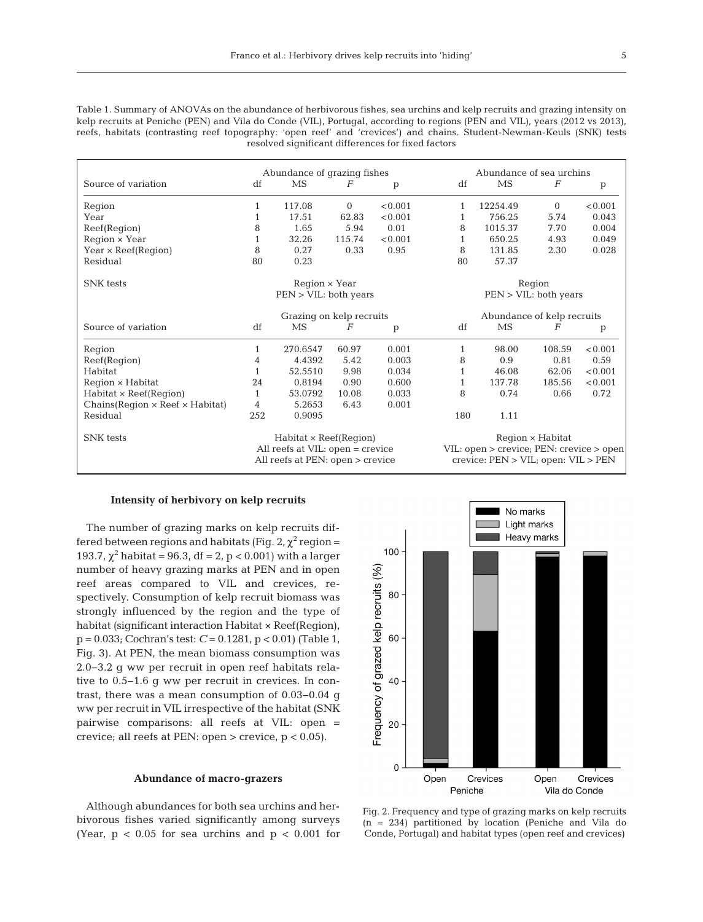| w |  |  |
|---|--|--|
|   |  |  |
|   |  |  |

Table 1. Summary of ANOVAs on the abundance of herbivorous fishes, sea urchins and kelp recruits and grazing intensity on kelp recruits at Peniche (PEN) and Vila do Conde (VIL), Portugal, according to regions (PEN and VIL), years (2012 vs 2013), reefs, habitats (contrasting reef topography: 'open reef' and 'crevices') and chains. Student-Newman-Keuls (SNK) tests resolved significant differences for fixed factors

|                                               | Abundance of grazing fishes      |          |                |              |                                          | Abundance of sea urchins                 |                |              |  |
|-----------------------------------------------|----------------------------------|----------|----------------|--------------|------------------------------------------|------------------------------------------|----------------|--------------|--|
| Source of variation                           | df                               | MS       | F              | p            | df                                       | MS                                       | F              | $\mathbf{p}$ |  |
| Region                                        | $\mathbf{1}$                     | 117.08   | $\mathbf{0}$   | < 0.001      | 1                                        | 12254.49                                 | $\overline{0}$ | < 0.001      |  |
| Year                                          | 1                                | 17.51    | 62.83          | < 0.001      |                                          | 756.25                                   | 5.74           | 0.043        |  |
| Reef(Region)                                  | 8                                | 1.65     | 5.94           | 0.01         | 8                                        | 1015.37                                  | 7.70           | 0.004        |  |
| $Region \times Year$                          | $\mathbf{1}$                     | 32.26    | 115.74         | < 0.001      | 1                                        | 650.25                                   | 4.93           | 0.049        |  |
| Year $\times$ Reef(Reqion)                    | 8                                | 0.27     | 0.33           | 0.95         | 8                                        | 131.85                                   | 2.30           | 0.028        |  |
| Residual                                      | 80                               | 0.23     |                |              | 80                                       | 57.37                                    |                |              |  |
| <b>SNK</b> tests                              | $Region \times Year$             |          |                |              |                                          | Region                                   |                |              |  |
|                                               | PEN > VIL: both years            |          |                |              | PEN > VIL: both years                    |                                          |                |              |  |
|                                               | Grazing on kelp recruits         |          |                |              | Abundance of kelp recruits               |                                          |                |              |  |
| Source of variation                           | df                               | MS       | $\overline{F}$ | $\mathbf{p}$ | df                                       | MS                                       | F              | $\mathbf{p}$ |  |
| Region                                        | 1                                | 270.6547 | 60.97          | 0.001        | 1                                        | 98.00                                    | 108.59         | < 0.001      |  |
| Reef(Region)                                  | 4                                | 4.4392   | 5.42           | 0.003        | 8                                        | 0.9                                      | 0.81           | 0.59         |  |
| Habitat                                       | $\mathbf{1}$                     | 52.5510  | 9.98           | 0.034        | $\mathbf{1}$                             | 46.08                                    | 62.06          | < 0.001      |  |
| Region × Habitat                              | 24                               | 0.8194   | 0.90           | 0.600        | $\mathbf{1}$                             | 137.78                                   | 185.56         | < 0.001      |  |
| $Habitat \times Reef(Region)$                 | $\mathbf{1}$                     | 53.0792  | 10.08          | 0.033        | 8                                        | 0.74                                     | 0.66           | 0.72         |  |
| Chains(Region $\times$ Reef $\times$ Habitat) | 4                                | 5.2653   | 6.43           | 0.001        |                                          |                                          |                |              |  |
| Residual                                      | 252                              | 0.9095   |                |              | 180                                      | 1.11                                     |                |              |  |
| <b>SNK</b> tests                              | $Habitat \times Reef(Region)$    |          |                |              | Region × Habitat                         |                                          |                |              |  |
|                                               | All reefs at VIL: open = crevice |          |                |              | VIL: open > crevice; PEN: crevice > open |                                          |                |              |  |
|                                               | All reefs at PEN: open > crevice |          |                |              |                                          | crevice: $PEN > VIL$ ; open: $VIL > PEN$ |                |              |  |

#### **Intensity of herbivory on kelp recruits**

The number of grazing marks on kelp recruits differed between regions and habitats (Fig. 2,  $\chi^2$  region = 193.7,  $\chi^2$  habitat = 96.3, df = 2, p < 0.001) with a larger number of heavy grazing marks at PEN and in open reef areas compared to VIL and crevices, respectively. Consumption of kelp recruit biomass was strongly influenced by the region and the type of habitat (significant interaction Habitat × Reef (Region), p = 0.033; Cochran's test: *C* = 0.1281, p < 0.01) (Table 1, Fig. 3). At PEN, the mean biomass consumption was 2.0−3.2 g ww per recruit in open reef habitats relative to 0.5−1.6 g ww per recruit in crevices. In contrast, there was a mean consumption of 0.03−0.04 g ww per recruit in VIL irrespective of the habitat (SNK pairwise comparisons: all reefs at VIL: open = crevice; all reefs at PEN: open  $>$  crevice,  $p < 0.05$ ).

#### **Abundance of macro-grazers**

Although abundances for both sea urchins and herbivorous fishes varied significantly among surveys (Year,  $p < 0.05$  for sea urchins and  $p < 0.001$  for



Fig. 2. Frequency and type of grazing marks on kelp recruits (n = 234) partitioned by location (Peniche and Vila do Conde, Portugal) and habitat types (open reef and crevices)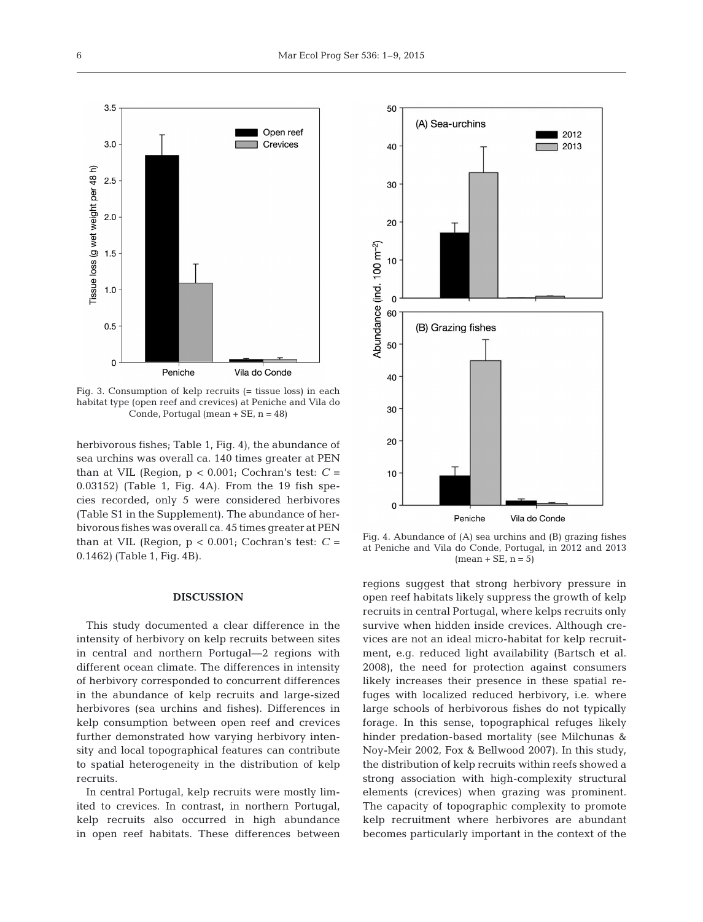

Fig. 3. Consumption of kelp recruits (= tissue loss) in each habitat type (open reef and crevices) at Peniche and Vila do Conde, Portugal (mean + SE, n = 48)

herbivorous fishes; Table 1, Fig. 4), the abundance of sea urchins was overall ca. 140 times greater at PEN than at VIL (Region,  $p < 0.001$ ; Cochran's test:  $C =$ 0.03152) (Table 1, Fig. 4A). From the 19 fish species recorded, only 5 were considered herbivores (Table S1 in the Supplement). The abundance of herbivorous fishes was overall ca. 45 times greater at PEN than at VIL (Region,  $p < 0.001$ ; Cochran's test:  $C =$ 0.1462) (Table 1, Fig. 4B).

#### **DISCUSSION**

This study documented a clear difference in the intensity of herbivory on kelp recruits between sites in central and northern Portugal—2 regions with different ocean climate. The differences in intensity of herbivory corresponded to concurrent differences in the abundance of kelp recruits and large-sized herbivores (sea urchins and fishes). Differences in kelp consumption between open reef and crevices further demonstrated how varying herbivory intensity and local topographical features can contribute to spatial heterogeneity in the distribution of kelp recruits.

In central Portugal, kelp recruits were mostly limited to crevices. In contrast, in northern Portugal, kelp recruits also occurred in high abundance in open reef habitats. These differences between



Fig. 4. Abundance of (A) sea urchins and (B) grazing fishes at Peniche and Vila do Conde, Portugal, in 2012 and 2013  $(mean + SE, n = 5)$ 

regions suggest that strong herbivory pressure in open reef habitats likely suppress the growth of kelp recruits in central Portugal, where kelps recruits only survive when hidden inside crevices. Although crevices are not an ideal micro-habitat for kelp recruitment, e.g. reduced light availability (Bartsch et al. 2008), the need for protection against consumers likely increases their presence in these spatial refuges with localized reduced herbivory, i.e. where large schools of herbivorous fishes do not typically forage. In this sense, topographical refuges likely hinder predation-based mortality (see Milchunas & Noy-Meir 2002, Fox & Bellwood 2007). In this study, the distribution of kelp recruits within reefs showed a strong association with high-complexity structural elements (crevices) when grazing was prominent. The capacity of topographic complexity to promote kelp recruitment where herbivores are abundant becomes particularly important in the context of the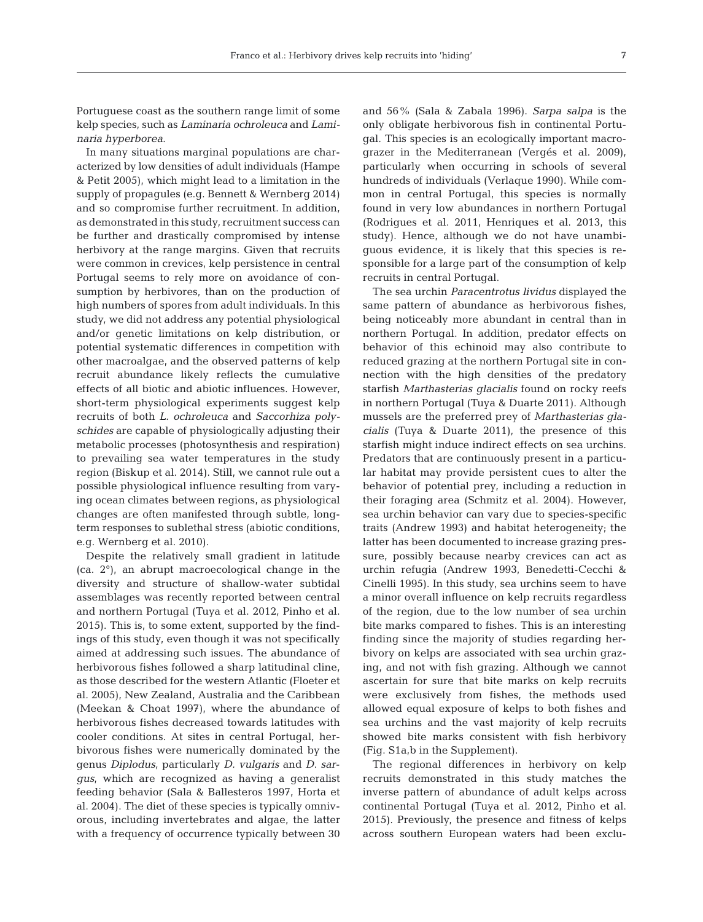Portuguese coast as the southern range limit of some kelp species, such as *Laminaria ochroleuca* and *Lami naria hyperborea*.

In many situations marginal populations are characterized by low densities of adult individuals (Hampe & Petit 2005), which might lead to a limitation in the supply of propagules (e.g. Bennett & Wernberg 2014) and so compromise further recruitment. In addition, as demonstrated in this study, recruitment success can be further and drastically compromised by intense herbivory at the range margins. Given that recruits were common in crevices, kelp persistence in central Portugal seems to rely more on avoidance of consumption by herbivores, than on the production of high numbers of spores from adult individuals. In this study, we did not address any potential physiological and/or genetic limitations on kelp distribution, or potential systematic differences in competition with other macroalgae, and the observed patterns of kelp re cruit abundance likely reflects the cumulative effects of all biotic and abiotic influences. However, short-term physiological experiments suggest kelp re cruits of both *L. ochroleuca* and *Saccorhiza poly schi des* are capable of physiologically adjusting their metabolic processes (photosynthesis and respiration) to prevailing sea water temperatures in the study region (Biskup et al. 2014). Still, we cannot rule out a possible physiological influence resulting from varying ocean climates between regions, as physiological changes are often manifested through subtle, longterm responses to sublethal stress (abiotic conditions, e.g. Wernberg et al. 2010).

Despite the relatively small gradient in latitude (ca. 2°), an abrupt macroecological change in the diversity and structure of shallow-water subtidal assemblages was recently reported between central and northern Portugal (Tuya et al. 2012, Pinho et al. 2015). This is, to some extent, supported by the findings of this study, even though it was not specifically aimed at addressing such issues. The abundance of herbivorous fishes followed a sharp latitudinal cline, as those described for the western Atlantic (Floeter et al. 2005), New Zealand, Australia and the Caribbean (Meekan & Choat 1997), where the abundance of herbivorous fishes decreased towards latitudes with cooler conditions. At sites in central Portugal, herbivorous fishes were numerically dominated by the genus *Diplodus*, particularly *D. vulgaris* and *D. sargus*, which are recognized as having a generalist feeding behavior (Sala & Ballesteros 1997, Horta et al. 2004). The diet of these species is typically omnivorous, including invertebrates and algae, the latter with a frequency of occurrence typically between 30

and 56% (Sala & Zabala 1996). *Sarpa salpa* is the only obligate herbivorous fish in continental Portugal. This species is an ecologically important macrograzer in the Mediterranean (Vergés et al. 2009), particularly when occurring in schools of several hundreds of individuals (Verlaque 1990). While common in central Portugal, this species is normally found in very low abundances in northern Portugal (Rodrigues et al. 2011, Henriques et al. 2013, this study). Hence, although we do not have unambiguous evidence, it is likely that this species is re sponsible for a large part of the consumption of kelp recruits in central Portugal.

The sea urchin *Paracentrotus lividus* displayed the same pattern of abundance as herbivorous fishes, being noticeably more abundant in central than in northern Portugal. In addition, predator effects on behavior of this echinoid may also contribute to reduced grazing at the northern Portugal site in connection with the high densities of the predatory starfish *Marthasterias glacialis* found on rocky reefs in northern Portugal (Tuya & Duarte 2011). Although mussels are the preferred prey of *Marthasterias gla cialis* (Tuya & Duarte 2011), the presence of this starfish might induce indirect effects on sea urchins. Predators that are continuously present in a particular habitat may provide persistent cues to alter the behavior of potential prey, including a reduction in their foraging area (Schmitz et al. 2004). However, sea urchin behavior can vary due to species-specific traits (Andrew 1993) and habitat heterogeneity; the latter has been documented to increase grazing pressure, possibly because nearby crevices can act as urchin refugia (Andrew 1993, Benedetti-Cecchi & Cinelli 1995). In this study, sea urchins seem to have a minor overall influence on kelp recruits regardless of the region, due to the low number of sea urchin bite marks compared to fishes. This is an interesting finding since the majority of studies regarding herbivory on kelps are associated with sea urchin grazing, and not with fish grazing. Although we cannot ascertain for sure that bite marks on kelp recruits were exclusively from fishes, the methods used allowed equal exposure of kelps to both fishes and sea urchins and the vast majority of kelp recruits showed bite marks consistent with fish herbivory (Fig. S1a,b in the Supplement).

The regional differences in herbivory on kelp recruits demonstrated in this study matches the inverse pattern of abundance of adult kelps across continental Portugal (Tuya et al. 2012, Pinho et al. 2015). Previously, the presence and fitness of kelps across southern European waters had been exclu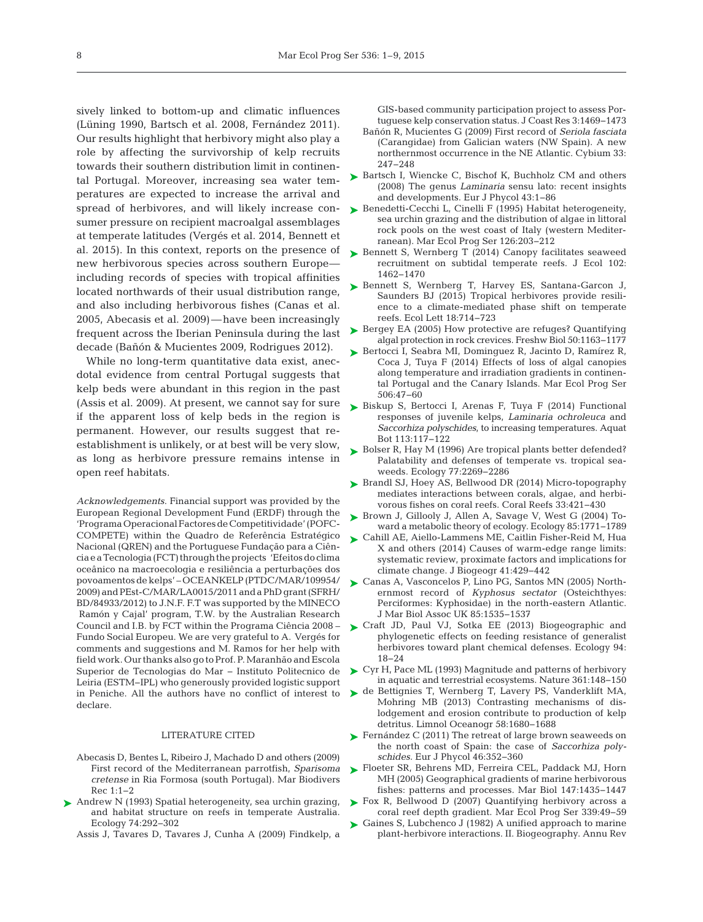sively linked to bottom-up and climatic influences (Lüning 1990, Bartsch et al. 2008, Fernández 2011). Our results highlight that herbivory might also play a role by affecting the survivorship of kelp recruits towards their southern distribution limit in continental Portugal. Moreover, increasing sea water temperatures are expected to increase the arrival and spread of herbivores, and will likely increase consumer pressure on recipient macroalgal assemblages at temperate latitudes (Vergés et al. 2014, Bennett et al. 2015). In this context, reports on the presence of new herbivorous species across southern Europe including records of species with tropical affinities located northwards of their usual distribution range, and also including herbivorous fishes (Canas et al. 2005, Abecasis et al. 2009)—have been increasingly frequent across the Iberian Peninsula during the last decade (Bañón & Mucientes 2009, Rodrigues 2012).

While no long-term quantitative data exist, anecdotal evidence from central Portugal suggests that kelp beds were abundant in this region in the past (Assis et al. 2009). At present, we cannot say for sure if the apparent loss of kelp beds in the region is permanent. However, our results suggest that reestablishment is unlikely, or at best will be very slow, as long as herbivore pressure remains intense in open reef habitats.

*Acknowledgements*. Financial support was provided by the European Regional Development Fund (ERDF) through the 'Programa Operacional Factores de Competitividade' (POFC-COMPETE) within the Quadro de Referência Estratégico Nacional (QREN) and the Portuguese Fundação para a CiênciaeaTecnologia(FCT)throughtheprojects 'Efeitosdoclima oceânico na macroecologia e resiliência a perturbações dos povoamentos de kelps' – OCEANKELP (PTDC/MAR/109954/ 2009) and PEst-C/MAR/LA0015/2011 and a PhD grant (SFRH/ BD/84933/2012) to J.N.F. F.T was supported by the MINECO Ramón y Cajal' program, T.W. by the Australian Research Council and I.B. by FCT within the Programa Ciência 2008 – Fundo Social Europeu. We are very grateful to A. Vergés for comments and suggestions and M. Ramos for her help with field work. Our thanks also go to Prof. P. Maranhão and Escola Superior de Tecnologias do Mar − Instituto Politecnico de Leiria (ESTM−IPL) who generously provided logistic support in Peniche. All the authors have no conflict of interest to declare.

#### LITERATURE CITED

- Abecasis D, Bentes L, Ribeiro J, Machado D and others (2009) First record of the Mediterranean parrotfish, *Sparisoma cretense* in Ria Formosa (south Portugal). Mar Biodivers Rec 1:1–2
- ▶ [Andrew N \(1993\) Spatial heterogeneity, sea urchin grazing,](http://dx.doi.org/10.2307/1939293) and habitat structure on reefs in temperate Australia. Ecology 74: 292−302

Assis J, Tavares D, Tavares J, Cunha A (2009) Findkelp, a

GIS-based community participation project to assess Portuguese kelp conservation status. J Coast Res 3: 1469−1473

- Bañón R, Mucientes G (2009) First record of *Seriola fasciata* (Carangidae) from Galician waters (NW Spain). A new northernmost occurrence in the NE Atlantic. Cybium 33: 247−248
- ► [Bartsch I, Wiencke C, Bischof K, Buchholz CM and others](http://dx.doi.org/10.1080/09670260701711376) (2008) The genus *Laminaria* sensu lato: recent insights and developments. Eur J Phycol 43: 1−86
- ▶ [Benedetti-Cecchi L, Cinelli F \(1995\) Habitat heterogeneity,](http://dx.doi.org/10.3354/meps126203) sea urchin grazing and the distribution of algae in littoral rock pools on the west coast of Italy (western Mediterranean). Mar Ecol Prog Ser 126: 203−212
- ► [Bennett S, Wernberg T \(2014\) Canopy facilitates seaweed](http://dx.doi.org/10.1111/1365-2745.12302) re cruitment on subtidal temperate reefs. J Ecol 102: 1462−1470
- ► [Bennett S, Wernberg T, Harvey ES, Santana-Garcon J,](http://dx.doi.org/10.1111/ele.12450) Saunders BJ (2015) Tropical herbivores provide resilience to a climate-mediated phase shift on temperate reefs. Ecol Lett 18: 714−723
- ► [Bergey EA \(2005\) How protective are refuges? Quantifying](http://dx.doi.org/10.1111/j.1365-2427.2005.01393.x) algal protection in rock crevices. Freshw Biol 50: 1163−1177
- ► [Bertocci I, Seabra MI, Dominguez R, Jacinto D, Ramírez R,](http://dx.doi.org/10.3354/meps10785) Coca J, Tuya F (2014) Effects of loss of algal canopies along temperature and irradiation gradients in continental Portugal and the Canary Islands. Mar Ecol Prog Ser 506: 47−60
- ► [Biskup S, Bertocci I, Arenas F, Tuya F \(2014\) Functional](http://dx.doi.org/10.1016/j.aquabot.2013.10.003) responses of juvenile kelps, *Laminaria ochroleuca* and *Saccorhiza polyschides*, to increasing temperatures. Aquat Bot 113: 117−122
- ► [Bolser R, Hay M \(1996\) Are tropical plants better defended?](http://dx.doi.org/10.2307/2265730) Palatability and defenses of temperate vs. tropical seaweeds. Ecology 77:2269-2286
- ► [Brandl SJ, Hoey AS, Bellwood DR \(2014\) Micro-topography](http://dx.doi.org/10.1007/s00338-013-1110-5) mediates interactions between corals, algae, and herbivorous fishes on coral reefs. Coral Reefs 33:421-430
- ▶ Brown J, Gillooly J, Allen A, Savage V, West G (2004) Toward a metabolic theory of ecology. Ecology 85: 1771−1789
- [Cahill AE, Aiello-Lammens ME, Caitlin Fisher-Reid M, Hua](http://dx.doi.org/10.1111/jbi.12231) ➤ X and others (2014) Causes of warm-edge range limits: systematic review, proximate factors and implications for climate change. J Biogeogr 41: 429−442
- ► [Canas A, Vasconcelos P, Lino PG, Santos MN \(2005\) North](http://dx.doi.org/10.1017/S0025315405012750)ernmost record of *Kyphosus sectator* (Osteichthyes: Perciformes: Kyphosidae) in the north-eastern Atlantic. J Mar Biol Assoc UK 85: 1535−1537
- ▶ [Craft JD, Paul VJ, Sotka EE \(2013\) Biogeographic and](http://dx.doi.org/10.1890/11-0873.1) phylogenetic effects on feeding resistance of generalist herbivores toward plant chemical defenses. Ecology 94: 18−24
- ► [Cyr H, Pace ML \(1993\) Magnitude and patterns of herbivory](http://dx.doi.org/10.1038/361148a0) in aquatic and terrestrial ecosystems. Nature 361: 148−150
- ▶ [de Bettignies T, Wernberg T, Lavery PS, Vanderklift MA,](http://dx.doi.org/10.4319/lo.2013.58.5.1680) Mohring MB (2013) Contrasting mechanisms of dislodgement and erosion contribute to production of kelp detritus. Limnol Oceanogr 58: 1680−1688
- ► [Fernández C \(2011\) The retreat of large brown seaweeds on](http://dx.doi.org/10.1080/09670262.2011.617840) the north coast of Spain: the case of *Saccorhiza polyschides.* Eur J Phycol 46: 352−360
- ► [Floeter SR, Behrens MD, Ferreira CEL, Paddack MJ, Horn](http://dx.doi.org/10.1007/s00227-005-0027-0) MH (2005) Geographical gradients of marine herbivorous fishes: patterns and processes. Mar Biol 147:1435−1447
- ► [Fox R, Bellwood D \(2007\) Quantifying herbivory across a](http://dx.doi.org/10.3354/meps339049) coral reef depth gradient. Mar Ecol Prog Ser 339:49-59
- ► [Gaines S, Lubchenco J \(1982\) A unified approach to marine](http://dx.doi.org/10.1146/annurev.es.13.110182.000551) plant-herbivore interactions. II. Biogeography. Annu Rev